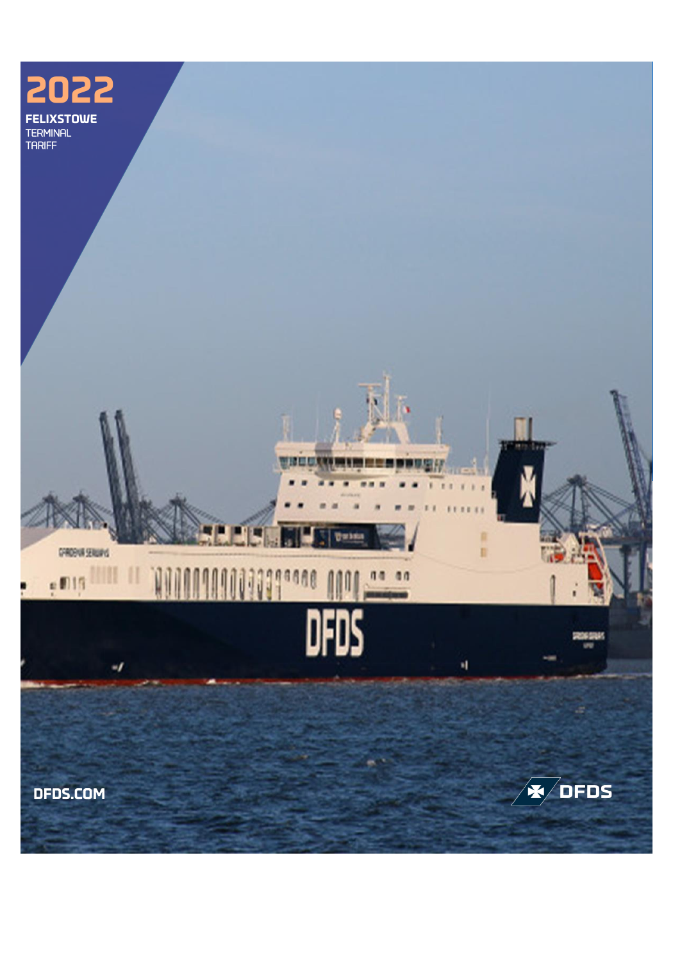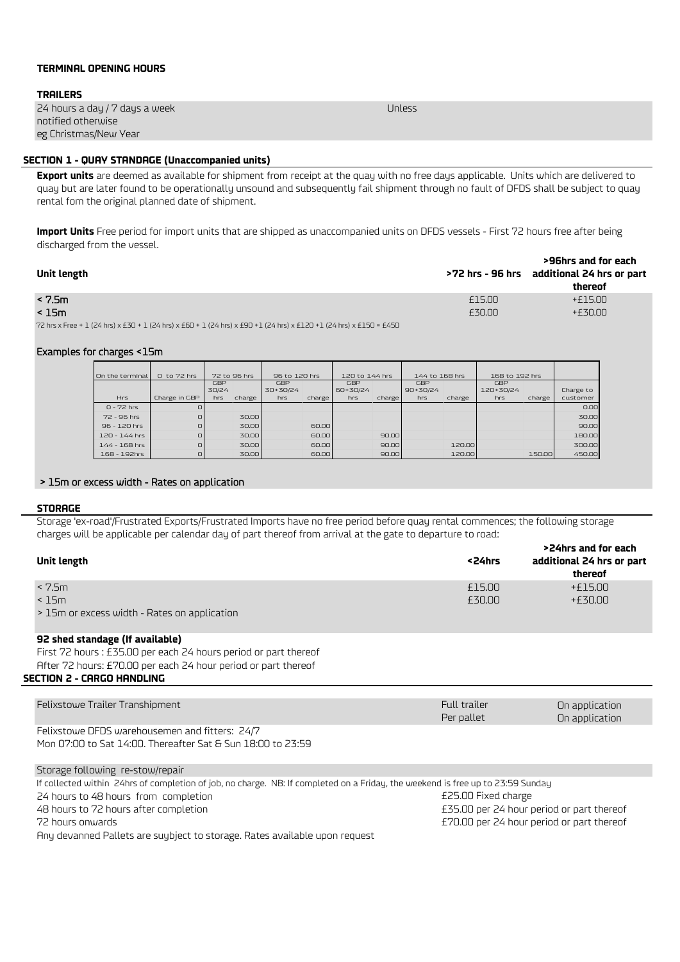# **TERMINAL OPENING HOURS**

## **TRAILERS**

| 24 hours a day / 7 days a week | Unless |
|--------------------------------|--------|
| notified otherwise             |        |
| eg Christmas/New Year          |        |
|                                |        |

# **SECTION 1 - QUAY STANDAGE (Unaccompanied units)**

**Export units** are deemed as available for shipment from receipt at the quay with no free days applicable. Units which are delivered to quay but are later found to be operationally unsound and subsequently fail shipment through no fault of DFDS shall be subject to quay rental fom the original planned date of shipment.

**Import Units** Free period for import units that are shipped as unaccompanied units on DFDS vessels - First 72 hours free after being discharged from the vessel.

| Unit length                                                                                                         |        | >96hrs and for each<br>>72 hrs - 96 hrs additional 24 hrs or part<br>thereof |
|---------------------------------------------------------------------------------------------------------------------|--------|------------------------------------------------------------------------------|
| < 7.5 <sub>m</sub>                                                                                                  | £15.00 | +£15.00                                                                      |
| < 15m                                                                                                               | £30.00 | $+£30.00$                                                                    |
| 72 hrs x Free + 1 (24 hrs) x £30 + 1 (24 hrs) x £60 + 1 (24 hrs) x £90 +1 (24 hrs) x £120 +1 (24 hrs) x £150 = £450 |        |                                                                              |

### Examples for charges <15m

| On the terminal | 0 to 72 hrs   |       | 72 to 96 hrs | 96 to 120 hrs |        | 120 to 144 hrs |        | 144 to 168 hrs |        | 168 to 192 hrs |        |           |
|-----------------|---------------|-------|--------------|---------------|--------|----------------|--------|----------------|--------|----------------|--------|-----------|
|                 |               | GBP   |              | GBP           |        | <b>GBP</b>     |        | GBP            |        | GBP            |        |           |
|                 |               | 30/24 |              | 30+30/24      |        | 60+30/24       |        | $90 + 30/24$   |        | 120+30/24      |        | Charge to |
| Hrs             | Charge in GBP | hrs   | charge       | hrs           | charge | hrs            | charge | hrs            | charge | hrs            | charge | customer  |
| $0 - 72$ hrs    | O             |       |              |               |        |                |        |                |        |                |        | 0.00      |
| $72 - 96$ hrs.  | $\Box$        |       | 30.00        |               |        |                |        |                |        |                |        | 30.00     |
| $96 - 120$ hrs  | $\Box$        |       | 30.00        |               | 60.00  |                |        |                |        |                |        | 90.00     |
| 120 - 144 hrs   | $\Box$        |       | 30.00        |               | 60.00  |                | 90.00  |                |        |                |        | 180.00    |
| 144 - 168 hrs   | $\Box$        |       | 30.00        |               | 60.00  |                | 90.00  |                | 120.00 |                |        | 300.00    |
| 168 - 192hrs    | $\Box$        |       | 30.00        |               | 60.00  |                | 90.00  |                | 120.00 |                | 150.00 | 450.00    |

# > 15m or excess width - Rates on application

#### **STORAGE**

Storage 'ex-road'/Frustrated Exports/Frustrated Imports have no free period before quay rental commences; the following storage charges will be applicable per calendar day of part thereof from arrival at the gate to departure to road:

| Unit length                                  | <24hrs | >24hrs and for each<br>additional 24 hrs or part<br>thereof |
|----------------------------------------------|--------|-------------------------------------------------------------|
| < 7.5m                                       | £15.00 | $+£15.00$                                                   |
| < 15m                                        | £30.00 | $+£30.00$                                                   |
| > 15m or excess width - Rates on application |        |                                                             |

### **92 shed standage (If available)**

First 72 hours : £35.00 per each 24 hours period or part thereof After 72 hours: £70.00 per each 24 hour period or part thereof

### **SECTION 2 - CARGO HANDLING**

| Felixstowe Trailer Transhipment                                                                               | Full trailer<br>Per pallet | On application<br>On application |
|---------------------------------------------------------------------------------------------------------------|----------------------------|----------------------------------|
| Felixstowe DFDS warehousemen and fitters: 24/7<br>Mon 07:00 to Sat 14:00. Thereafter Sat & Sun 18:00 to 23:59 |                            |                                  |
| Storage following re-stow/repair                                                                              |                            |                                  |

If collected within 24hrs of completion of job, no charge. NB: If completed on a Friday, the weekend is free up to 23:59 Sunday 24 hours to 48 hours from completion **E25.00** Fixed charge 48 hours to 72 hours after completion £35.00 per 24 hour period or part thereof 72 hours onwards £70.00 per 24 hour period or part thereof Any devanned Pallets are suybject to storage. Rates available upon request